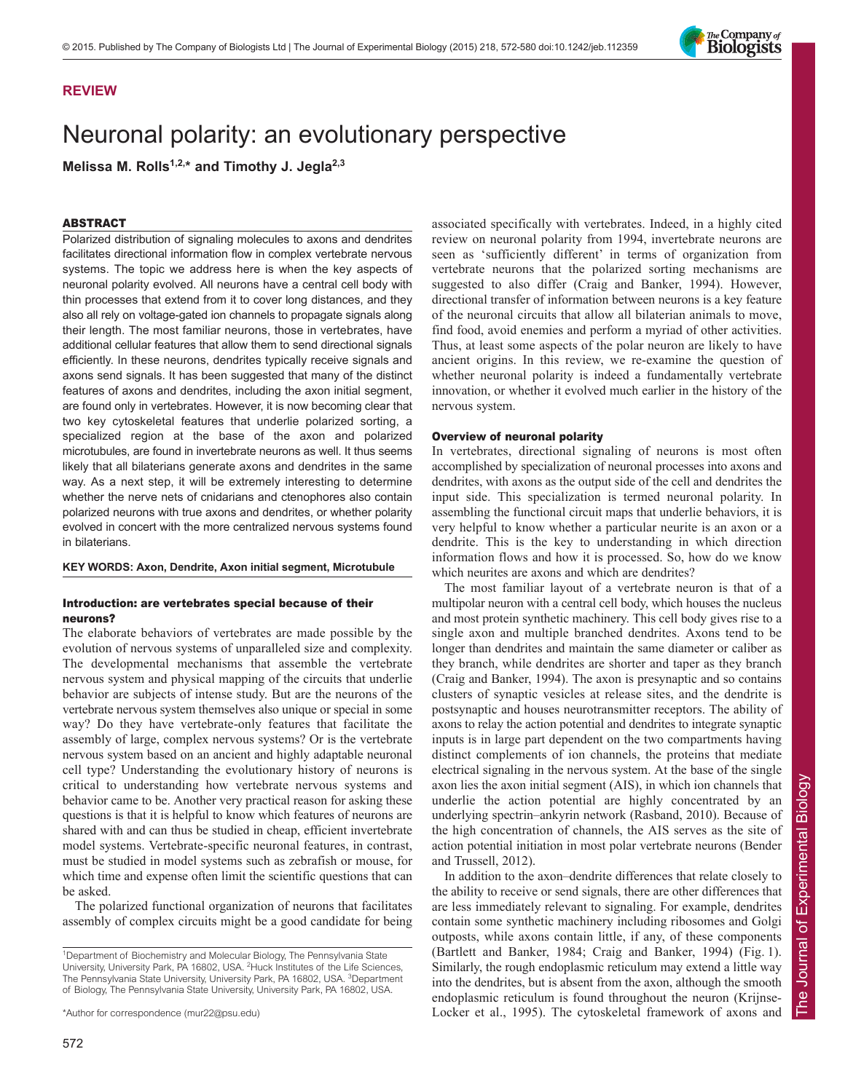

# Neuronal polarity: an evolutionary perspective

Melissa M. Rolls<sup>1,2,\*</sup> and Timothy J. Jegla<sup>2,3</sup>

### ABSTRACT

Polarized distribution of signaling molecules to axons and dendrites facilitates directional information flow in complex vertebrate nervous systems. The topic we address here is when the key aspects of neuronal polarity evolved. All neurons have a central cell body with thin processes that extend from it to cover long distances, and they also all rely on voltage-gated ion channels to propagate signals along their length. The most familiar neurons, those in vertebrates, have additional cellular features that allow them to send directional signals efficiently. In these neurons, dendrites typically receive signals and axons send signals. It has been suggested that many of the distinct features of axons and dendrites, including the axon initial segment, are found only in vertebrates. However, it is now becoming clear that two key cytoskeletal features that underlie polarized sorting, a specialized region at the base of the axon and polarized microtubules, are found in invertebrate neurons as well. It thus seems likely that all bilaterians generate axons and dendrites in the same way. As a next step, it will be extremely interesting to determine whether the nerve nets of cnidarians and ctenophores also contain polarized neurons with true axons and dendrites, or whether polarity evolved in concert with the more centralized nervous systems found in bilaterians.

**KEY WORDS: Axon, Dendrite, Axon initial segment, Microtubule**

## Introduction: are vertebrates special because of their neurons?

The elaborate behaviors of vertebrates are made possible by the evolution of nervous systems of unparalleled size and complexity. The developmental mechanisms that assemble the vertebrate nervous system and physical mapping of the circuits that underlie behavior are subjects of intense study. But are the neurons of the vertebrate nervous system themselves also unique or special in some way? Do they have vertebrate-only features that facilitate the assembly of large, complex nervous systems? Or is the vertebrate nervous system based on an ancient and highly adaptable neuronal cell type? Understanding the evolutionary history of neurons is critical to understanding how vertebrate nervous systems and behavior came to be. Another very practical reason for asking these questions is that it is helpful to know which features of neurons are shared with and can thus be studied in cheap, efficient invertebrate model systems. Vertebrate-specific neuronal features, in contrast, must be studied in model systems such as zebrafish or mouse, for which time and expense often limit the scientific questions that can be asked.

The polarized functional organization of neurons that facilitates assembly of complex circuits might be a good candidate for being associated specifically with vertebrates. Indeed, in a highly cited review on neuronal polarity from 1994, invertebrate neurons are seen as 'sufficiently different' in terms of organization from vertebrate neurons that the polarized sorting mechanisms are suggested to also differ (Craig and Banker, 1994). However, directional transfer of information between neurons is a key feature of the neuronal circuits that allow all bilaterian animals to move, find food, avoid enemies and perform a myriad of other activities. Thus, at least some aspects of the polar neuron are likely to have ancient origins. In this review, we re-examine the question of whether neuronal polarity is indeed a fundamentally vertebrate innovation, or whether it evolved much earlier in the history of the nervous system.

#### Overview of neuronal polarity

In vertebrates, directional signaling of neurons is most often accomplished by specialization of neuronal processes into axons and dendrites, with axons as the output side of the cell and dendrites the input side. This specialization is termed neuronal polarity. In assembling the functional circuit maps that underlie behaviors, it is very helpful to know whether a particular neurite is an axon or a dendrite. This is the key to understanding in which direction information flows and how it is processed. So, how do we know which neurites are axons and which are dendrites?

The most familiar layout of a vertebrate neuron is that of a multipolar neuron with a central cell body, which houses the nucleus and most protein synthetic machinery. This cell body gives rise to a single axon and multiple branched dendrites. Axons tend to be longer than dendrites and maintain the same diameter or caliber as they branch, while dendrites are shorter and taper as they branch (Craig and Banker, 1994). The axon is presynaptic and so contains clusters of synaptic vesicles at release sites, and the dendrite is postsynaptic and houses neurotransmitter receptors. The ability of axons to relay the action potential and dendrites to integrate synaptic inputs is in large part dependent on the two compartments having distinct complements of ion channels, the proteins that mediate electrical signaling in the nervous system. At the base of the single axon lies the axon initial segment (AIS), in which ion channels that underlie the action potential are highly concentrated by an underlying spectrin–ankyrin network (Rasband, 2010). Because of the high concentration of channels, the AIS serves as the site of action potential initiation in most polar vertebrate neurons (Bender and Trussell, 2012).

In addition to the axon–dendrite differences that relate closely to the ability to receive or send signals, there are other differences that are less immediately relevant to signaling. For example, dendrites contain some synthetic machinery including ribosomes and Golgi outposts, while axons contain little, if any, of these components (Bartlett and Banker, 1984; Craig and Banker, 1994) (Fig. 1). Similarly, the rough endoplasmic reticulum may extend a little way into the dendrites, but is absent from the axon, although the smooth endoplasmic reticulum is found throughout the neuron (Krijnse-Locker et al., 1995). The cytoskeletal framework of axons and



<sup>&</sup>lt;sup>1</sup>Department of Biochemistry and Molecular Biology, The Pennsylvania State University, University Park, PA 16802, USA. <sup>2</sup>Huck Institutes of the Life Sciences, The Pennsylvania State University, University Park, PA 16802, USA. <sup>3</sup>Department of Biology, The Pennsylvania State University, University Park, PA 16802, USA.

<sup>\*</sup>Author for correspondence (mur22@psu.edu)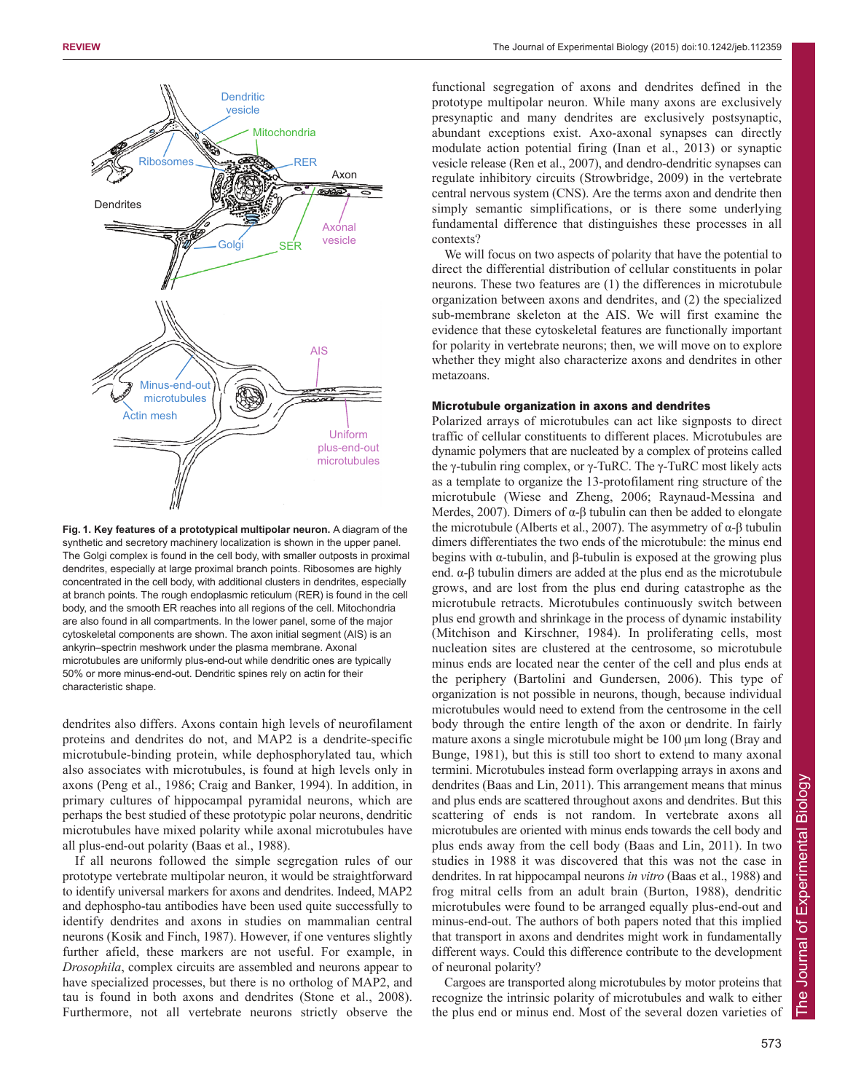

**Fig. 1. Key features of a prototypical multipolar neuron.** A diagram of the synthetic and secretory machinery localization is shown in the upper panel. The Golgi complex is found in the cell body, with smaller outposts in proximal dendrites, especially at large proximal branch points. Ribosomes are highly concentrated in the cell body, with additional clusters in dendrites, especially at branch points. The rough endoplasmic reticulum (RER) is found in the cell body, and the smooth ER reaches into all regions of the cell. Mitochondria are also found in all compartments. In the lower panel, some of the major cytoskeletal components are shown. The axon initial segment (AIS) is an ankyrin–spectrin meshwork under the plasma membrane. Axonal microtubules are uniformly plus-end-out while dendritic ones are typically 50% or more minus-end-out. Dendritic spines rely on actin for their characteristic shape.

dendrites also differs. Axons contain high levels of neurofilament proteins and dendrites do not, and MAP2 is a dendrite-specific microtubule-binding protein, while dephosphorylated tau, which also associates with microtubules, is found at high levels only in axons (Peng et al., 1986; Craig and Banker, 1994). In addition, in primary cultures of hippocampal pyramidal neurons, which are perhaps the best studied of these prototypic polar neurons, dendritic microtubules have mixed polarity while axonal microtubules have all plus-end-out polarity (Baas et al., 1988).

If all neurons followed the simple segregation rules of our prototype vertebrate multipolar neuron, it would be straightforward to identify universal markers for axons and dendrites. Indeed, MAP2 and dephospho-tau antibodies have been used quite successfully to identify dendrites and axons in studies on mammalian central neurons (Kosik and Finch, 1987). However, if one ventures slightly further afield, these markers are not useful. For example, in *Drosophila*, complex circuits are assembled and neurons appear to have specialized processes, but there is no ortholog of MAP2, and tau is found in both axons and dendrites (Stone et al., 2008). Furthermore, not all vertebrate neurons strictly observe the functional segregation of axons and dendrites defined in the prototype multipolar neuron. While many axons are exclusively presynaptic and many dendrites are exclusively postsynaptic, abundant exceptions exist. Axo-axonal synapses can directly modulate action potential firing (Inan et al., 2013) or synaptic vesicle release (Ren et al., 2007), and dendro-dendritic synapses can regulate inhibitory circuits (Strowbridge, 2009) in the vertebrate central nervous system (CNS). Are the terms axon and dendrite then simply semantic simplifications, or is there some underlying fundamental difference that distinguishes these processes in all contexts?

We will focus on two aspects of polarity that have the potential to direct the differential distribution of cellular constituents in polar neurons. These two features are (1) the differences in microtubule organization between axons and dendrites, and (2) the specialized sub-membrane skeleton at the AIS. We will first examine the evidence that these cytoskeletal features are functionally important for polarity in vertebrate neurons; then, we will move on to explore whether they might also characterize axons and dendrites in other metazoans.

### Microtubule organization in axons and dendrites

Polarized arrays of microtubules can act like signposts to direct traffic of cellular constituents to different places. Microtubules are dynamic polymers that are nucleated by a complex of proteins called the γ-tubulin ring complex, or γ-TuRC. The γ-TuRC most likely acts as a template to organize the 13-protofilament ring structure of the microtubule (Wiese and Zheng, 2006; Raynaud-Messina and Merdes, 2007). Dimers of  $\alpha$ -β tubulin can then be added to elongate the microtubule (Alberts et al., 2007). The asymmetry of α-β tubulin dimers differentiates the two ends of the microtubule: the minus end begins with α-tubulin, and β-tubulin is exposed at the growing plus end. α-β tubulin dimers are added at the plus end as the microtubule grows, and are lost from the plus end during catastrophe as the microtubule retracts. Microtubules continuously switch between plus end growth and shrinkage in the process of dynamic instability (Mitchison and Kirschner, 1984). In proliferating cells, most nucleation sites are clustered at the centrosome, so microtubule minus ends are located near the center of the cell and plus ends at the periphery (Bartolini and Gundersen, 2006). This type of organization is not possible in neurons, though, because individual microtubules would need to extend from the centrosome in the cell body through the entire length of the axon or dendrite. In fairly mature axons a single microtubule might be 100 μm long (Bray and Bunge, 1981), but this is still too short to extend to many axonal termini. Microtubules instead form overlapping arrays in axons and dendrites (Baas and Lin, 2011). This arrangement means that minus and plus ends are scattered throughout axons and dendrites. But this scattering of ends is not random. In vertebrate axons all microtubules are oriented with minus ends towards the cell body and plus ends away from the cell body (Baas and Lin, 2011). In two studies in 1988 it was discovered that this was not the case in dendrites. In rat hippocampal neurons *in vitro* (Baas et al., 1988) and frog mitral cells from an adult brain (Burton, 1988), dendritic microtubules were found to be arranged equally plus-end-out and minus-end-out. The authors of both papers noted that this implied that transport in axons and dendrites might work in fundamentally different ways. Could this difference contribute to the development of neuronal polarity?

Cargoes are transported along microtubules by motor proteins that recognize the intrinsic polarity of microtubules and walk to either the plus end or minus end. Most of the several dozen varieties of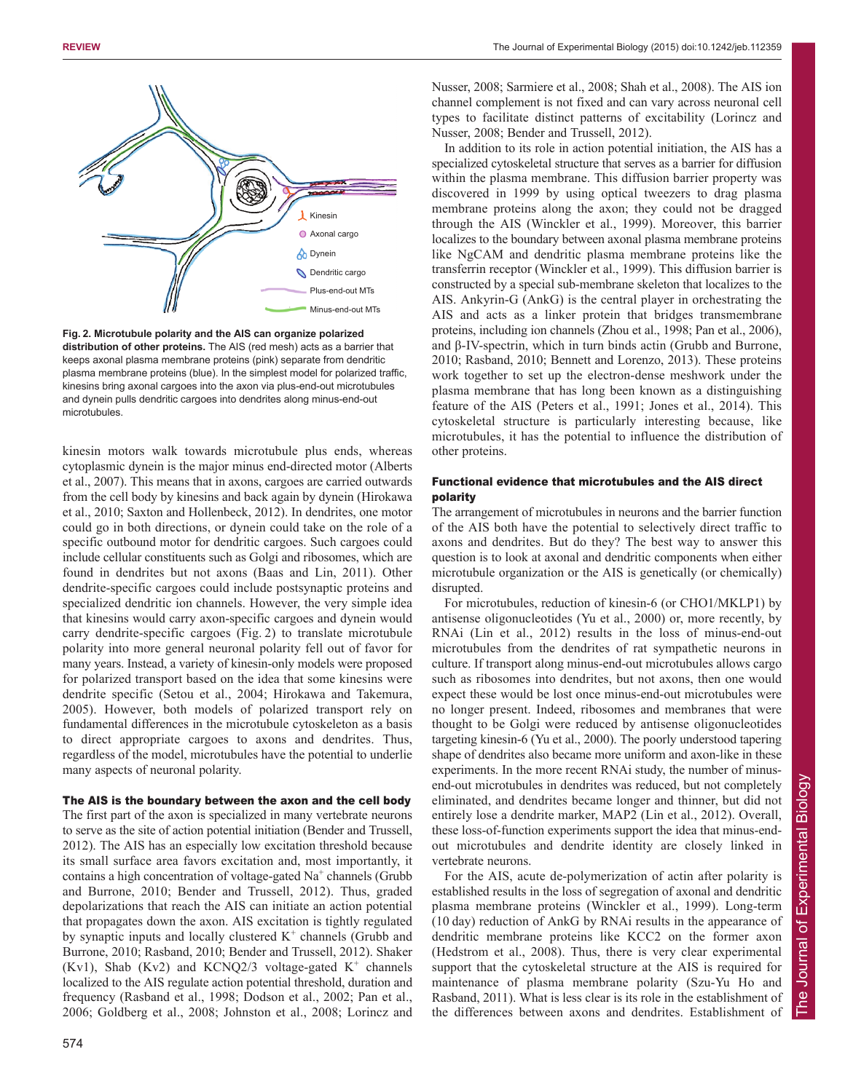

**Fig. 2. Microtubule polarity and the AIS can organize polarized distribution of other proteins.** The AIS (red mesh) acts as a barrier that keeps axonal plasma membrane proteins (pink) separate from dendritic plasma membrane proteins (blue). In the simplest model for polarized traffic, kinesins bring axonal cargoes into the axon via plus-end-out microtubules and dynein pulls dendritic cargoes into dendrites along minus-end-out microtubules.

kinesin motors walk towards microtubule plus ends, whereas cytoplasmic dynein is the major minus end-directed motor (Alberts et al., 2007). This means that in axons, cargoes are carried outwards from the cell body by kinesins and back again by dynein (Hirokawa et al., 2010; Saxton and Hollenbeck, 2012). In dendrites, one motor could go in both directions, or dynein could take on the role of a specific outbound motor for dendritic cargoes. Such cargoes could include cellular constituents such as Golgi and ribosomes, which are found in dendrites but not axons (Baas and Lin, 2011). Other dendrite-specific cargoes could include postsynaptic proteins and specialized dendritic ion channels. However, the very simple idea that kinesins would carry axon-specific cargoes and dynein would carry dendrite-specific cargoes (Fig. 2) to translate microtubule polarity into more general neuronal polarity fell out of favor for many years. Instead, a variety of kinesin-only models were proposed for polarized transport based on the idea that some kinesins were dendrite specific (Setou et al., 2004; Hirokawa and Takemura, 2005). However, both models of polarized transport rely on fundamental differences in the microtubule cytoskeleton as a basis to direct appropriate cargoes to axons and dendrites. Thus, regardless of the model, microtubules have the potential to underlie many aspects of neuronal polarity.

## The AIS is the boundary between the axon and the cell body

The first part of the axon is specialized in many vertebrate neurons to serve as the site of action potential initiation (Bender and Trussell, 2012). The AIS has an especially low excitation threshold because its small surface area favors excitation and, most importantly, it contains a high concentration of voltage-gated  $Na<sup>+</sup>$  channels (Grubb and Burrone, 2010; Bender and Trussell, 2012). Thus, graded depolarizations that reach the AIS can initiate an action potential that propagates down the axon. AIS excitation is tightly regulated by synaptic inputs and locally clustered  $K^+$  channels (Grubb and Burrone, 2010; Rasband, 2010; Bender and Trussell, 2012). Shaker  $(Kv1)$ , Shab  $(Kv2)$  and  $KCNQ2/3$  voltage-gated  $K^+$  channels localized to the AIS regulate action potential threshold, duration and frequency (Rasband et al., 1998; Dodson et al., 2002; Pan et al., 2006; Goldberg et al., 2008; Johnston et al., 2008; Lorincz and Nusser, 2008; Sarmiere et al., 2008; Shah et al., 2008). The AIS ion channel complement is not fixed and can vary across neuronal cell types to facilitate distinct patterns of excitability (Lorincz and Nusser, 2008; Bender and Trussell, 2012).

In addition to its role in action potential initiation, the AIS has a specialized cytoskeletal structure that serves as a barrier for diffusion within the plasma membrane. This diffusion barrier property was discovered in 1999 by using optical tweezers to drag plasma membrane proteins along the axon; they could not be dragged through the AIS (Winckler et al., 1999). Moreover, this barrier localizes to the boundary between axonal plasma membrane proteins like NgCAM and dendritic plasma membrane proteins like the transferrin receptor (Winckler et al., 1999). This diffusion barrier is constructed by a special sub-membrane skeleton that localizes to the AIS. Ankyrin-G (AnkG) is the central player in orchestrating the AIS and acts as a linker protein that bridges transmembrane proteins, including ion channels (Zhou et al., 1998; Pan et al., 2006), and β-IV-spectrin, which in turn binds actin (Grubb and Burrone, 2010; Rasband, 2010; Bennett and Lorenzo, 2013). These proteins work together to set up the electron-dense meshwork under the plasma membrane that has long been known as a distinguishing feature of the AIS (Peters et al., 1991; Jones et al., 2014). This cytoskeletal structure is particularly interesting because, like microtubules, it has the potential to influence the distribution of other proteins.

## Functional evidence that microtubules and the AIS direct polarity

The arrangement of microtubules in neurons and the barrier function of the AIS both have the potential to selectively direct traffic to axons and dendrites. But do they? The best way to answer this question is to look at axonal and dendritic components when either microtubule organization or the AIS is genetically (or chemically) disrupted.

For microtubules, reduction of kinesin-6 (or CHO1/MKLP1) by antisense oligonucleotides (Yu et al., 2000) or, more recently, by RNAi (Lin et al., 2012) results in the loss of minus-end-out microtubules from the dendrites of rat sympathetic neurons in culture. If transport along minus-end-out microtubules allows cargo such as ribosomes into dendrites, but not axons, then one would expect these would be lost once minus-end-out microtubules were no longer present. Indeed, ribosomes and membranes that were thought to be Golgi were reduced by antisense oligonucleotides targeting kinesin-6 (Yu et al., 2000). The poorly understood tapering shape of dendrites also became more uniform and axon-like in these experiments. In the more recent RNAi study, the number of minusend-out microtubules in dendrites was reduced, but not completely eliminated, and dendrites became longer and thinner, but did not entirely lose a dendrite marker, MAP2 (Lin et al., 2012). Overall, these loss-of-function experiments support the idea that minus-endout microtubules and dendrite identity are closely linked in vertebrate neurons.

For the AIS, acute de-polymerization of actin after polarity is established results in the loss of segregation of axonal and dendritic plasma membrane proteins (Winckler et al., 1999). Long-term (10 day) reduction of AnkG by RNAi results in the appearance of dendritic membrane proteins like KCC2 on the former axon (Hedstrom et al., 2008). Thus, there is very clear experimental support that the cytoskeletal structure at the AIS is required for maintenance of plasma membrane polarity (Szu-Yu Ho and Rasband, 2011). What is less clear is its role in the establishment of the differences between axons and dendrites. Establishment of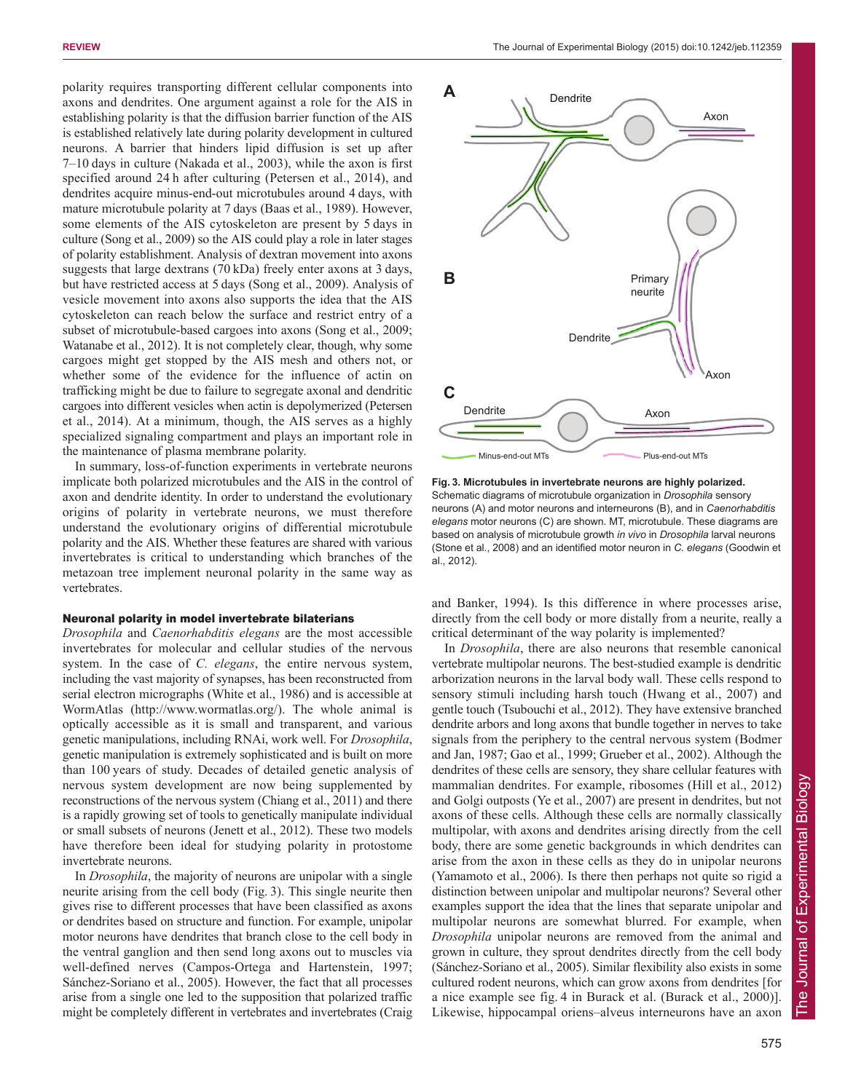polarity requires transporting different cellular components into axons and dendrites. One argument against a role for the AIS in establishing polarity is that the diffusion barrier function of the AIS is established relatively late during polarity development in cultured neurons. A barrier that hinders lipid diffusion is set up after 7–10 days in culture (Nakada et al., 2003), while the axon is first specified around 24 h after culturing (Petersen et al., 2014), and dendrites acquire minus-end-out microtubules around 4 days, with mature microtubule polarity at 7 days (Baas et al., 1989). However, some elements of the AIS cytoskeleton are present by 5 days in culture (Song et al., 2009) so the AIS could play a role in later stages of polarity establishment. Analysis of dextran movement into axons suggests that large dextrans (70 kDa) freely enter axons at 3 days, but have restricted access at 5 days (Song et al., 2009). Analysis of vesicle movement into axons also supports the idea that the AIS cytoskeleton can reach below the surface and restrict entry of a subset of microtubule-based cargoes into axons (Song et al., 2009; Watanabe et al., 2012). It is not completely clear, though, why some cargoes might get stopped by the AIS mesh and others not, or whether some of the evidence for the influence of actin on trafficking might be due to failure to segregate axonal and dendritic cargoes into different vesicles when actin is depolymerized (Petersen et al., 2014). At a minimum, though, the AIS serves as a highly specialized signaling compartment and plays an important role in the maintenance of plasma membrane polarity.

In summary, loss-of-function experiments in vertebrate neurons implicate both polarized microtubules and the AIS in the control of axon and dendrite identity. In order to understand the evolutionary origins of polarity in vertebrate neurons, we must therefore understand the evolutionary origins of differential microtubule polarity and the AIS. Whether these features are shared with various invertebrates is critical to understanding which branches of the metazoan tree implement neuronal polarity in the same way as vertebrates.

#### Neuronal polarity in model invertebrate bilaterians

*Drosophila* and *Caenorhabditis elegans* are the most accessible invertebrates for molecular and cellular studies of the nervous system. In the case of *C. elegans*, the entire nervous system, including the vast majority of synapses, has been reconstructed from serial electron micrographs (White et al., 1986) and is accessible at WormAtlas (http://www.wormatlas.org/). The whole animal is optically accessible as it is small and transparent, and various genetic manipulations, including RNAi, work well. For *Drosophila*, genetic manipulation is extremely sophisticated and is built on more than 100 years of study. Decades of detailed genetic analysis of nervous system development are now being supplemented by reconstructions of the nervous system (Chiang et al., 2011) and there is a rapidly growing set of tools to genetically manipulate individual or small subsets of neurons (Jenett et al., 2012). These two models have therefore been ideal for studying polarity in protostome invertebrate neurons.

In *Drosophila*, the majority of neurons are unipolar with a single neurite arising from the cell body (Fig. 3). This single neurite then gives rise to different processes that have been classified as axons or dendrites based on structure and function. For example, unipolar motor neurons have dendrites that branch close to the cell body in the ventral ganglion and then send long axons out to muscles via well-defined nerves (Campos-Ortega and Hartenstein, 1997; Sánchez-Soriano et al., 2005). However, the fact that all processes arise from a single one led to the supposition that polarized traffic might be completely different in vertebrates and invertebrates (Craig



**Fig. 3. Microtubules in invertebrate neurons are highly polarized.** Schematic diagrams of microtubule organization in *Drosophila* sensory neurons (A) and motor neurons and interneurons (B), and in *Caenorhabditis elegans* motor neurons (C) are shown. MT, microtubule. These diagrams are based on analysis of microtubule growth *in vivo* in *Drosophila* larval neurons (Stone et al., 2008) and an identified motor neuron in *C. elegans* (Goodwin et al., 2012).

and Banker, 1994). Is this difference in where processes arise, directly from the cell body or more distally from a neurite, really a critical determinant of the way polarity is implemented?

In *Drosophila*, there are also neurons that resemble canonical vertebrate multipolar neurons. The best-studied example is dendritic arborization neurons in the larval body wall. These cells respond to sensory stimuli including harsh touch (Hwang et al., 2007) and gentle touch (Tsubouchi et al., 2012). They have extensive branched dendrite arbors and long axons that bundle together in nerves to take signals from the periphery to the central nervous system (Bodmer and Jan, 1987; Gao et al., 1999; Grueber et al., 2002). Although the dendrites of these cells are sensory, they share cellular features with mammalian dendrites. For example, ribosomes (Hill et al., 2012) and Golgi outposts (Ye et al., 2007) are present in dendrites, but not axons of these cells. Although these cells are normally classically multipolar, with axons and dendrites arising directly from the cell body, there are some genetic backgrounds in which dendrites can arise from the axon in these cells as they do in unipolar neurons (Yamamoto et al., 2006). Is there then perhaps not quite so rigid a distinction between unipolar and multipolar neurons? Several other examples support the idea that the lines that separate unipolar and multipolar neurons are somewhat blurred. For example, when *Drosophila* unipolar neurons are removed from the animal and grown in culture, they sprout dendrites directly from the cell body (Sánchez-Soriano et al., 2005). Similar flexibility also exists in some cultured rodent neurons, which can grow axons from dendrites [for a nice example see fig. 4 in Burack et al. (Burack et al., 2000)]. Likewise, hippocampal oriens–alveus interneurons have an axon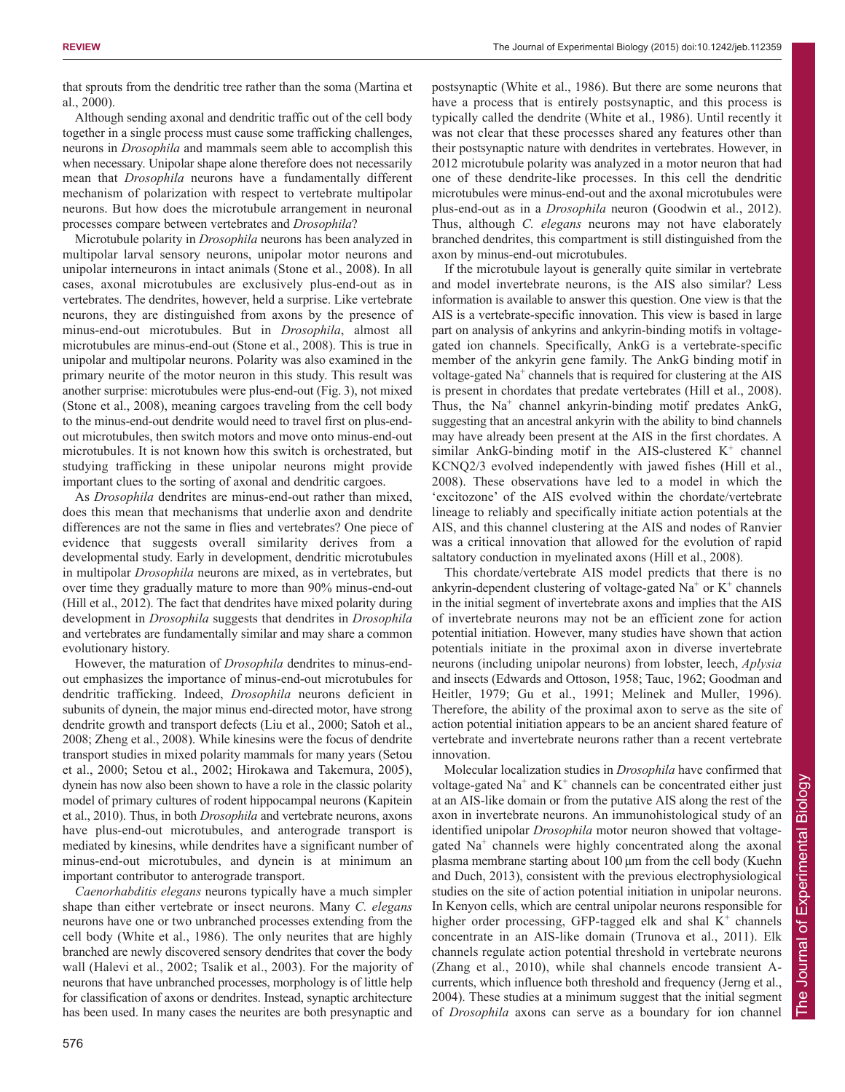that sprouts from the dendritic tree rather than the soma (Martina et al., 2000).

Although sending axonal and dendritic traffic out of the cell body together in a single process must cause some trafficking challenges, neurons in *Drosophila* and mammals seem able to accomplish this when necessary. Unipolar shape alone therefore does not necessarily mean that *Drosophila* neurons have a fundamentally different mechanism of polarization with respect to vertebrate multipolar neurons. But how does the microtubule arrangement in neuronal processes compare between vertebrates and *Drosophila*?

Microtubule polarity in *Drosophila* neurons has been analyzed in multipolar larval sensory neurons, unipolar motor neurons and unipolar interneurons in intact animals (Stone et al., 2008). In all cases, axonal microtubules are exclusively plus-end-out as in vertebrates. The dendrites, however, held a surprise. Like vertebrate neurons, they are distinguished from axons by the presence of minus-end-out microtubules. But in *Drosophila*, almost all microtubules are minus-end-out (Stone et al., 2008). This is true in unipolar and multipolar neurons. Polarity was also examined in the primary neurite of the motor neuron in this study. This result was another surprise: microtubules were plus-end-out (Fig. 3), not mixed (Stone et al., 2008), meaning cargoes traveling from the cell body to the minus-end-out dendrite would need to travel first on plus-endout microtubules, then switch motors and move onto minus-end-out microtubules. It is not known how this switch is orchestrated, but studying trafficking in these unipolar neurons might provide important clues to the sorting of axonal and dendritic cargoes.

As *Drosophila* dendrites are minus-end-out rather than mixed, does this mean that mechanisms that underlie axon and dendrite differences are not the same in flies and vertebrates? One piece of evidence that suggests overall similarity derives from a developmental study. Early in development, dendritic microtubules in multipolar *Drosophila* neurons are mixed, as in vertebrates, but over time they gradually mature to more than 90% minus-end-out (Hill et al., 2012). The fact that dendrites have mixed polarity during development in *Drosophila* suggests that dendrites in *Drosophila* and vertebrates are fundamentally similar and may share a common evolutionary history.

However, the maturation of *Drosophila* dendrites to minus-endout emphasizes the importance of minus-end-out microtubules for dendritic trafficking. Indeed, *Drosophila* neurons deficient in subunits of dynein, the major minus end-directed motor, have strong dendrite growth and transport defects (Liu et al., 2000; Satoh et al., 2008; Zheng et al., 2008). While kinesins were the focus of dendrite transport studies in mixed polarity mammals for many years (Setou et al., 2000; Setou et al., 2002; Hirokawa and Takemura, 2005), dynein has now also been shown to have a role in the classic polarity model of primary cultures of rodent hippocampal neurons (Kapitein et al., 2010). Thus, in both *Drosophila* and vertebrate neurons, axons have plus-end-out microtubules, and anterograde transport is mediated by kinesins, while dendrites have a significant number of minus-end-out microtubules, and dynein is at minimum an important contributor to anterograde transport.

*Caenorhabditis elegans* neurons typically have a much simpler shape than either vertebrate or insect neurons. Many *C. elegans* neurons have one or two unbranched processes extending from the cell body (White et al., 1986). The only neurites that are highly branched are newly discovered sensory dendrites that cover the body wall (Halevi et al., 2002; Tsalik et al., 2003). For the majority of neurons that have unbranched processes, morphology is of little help for classification of axons or dendrites. Instead, synaptic architecture has been used. In many cases the neurites are both presynaptic and postsynaptic (White et al., 1986). But there are some neurons that have a process that is entirely postsynaptic, and this process is typically called the dendrite (White et al., 1986). Until recently it was not clear that these processes shared any features other than their postsynaptic nature with dendrites in vertebrates. However, in 2012 microtubule polarity was analyzed in a motor neuron that had one of these dendrite-like processes. In this cell the dendritic microtubules were minus-end-out and the axonal microtubules were plus-end-out as in a *Drosophila* neuron (Goodwin et al., 2012). Thus, although *C. elegans* neurons may not have elaborately branched dendrites, this compartment is still distinguished from the axon by minus-end-out microtubules.

If the microtubule layout is generally quite similar in vertebrate and model invertebrate neurons, is the AIS also similar? Less information is available to answer this question. One view is that the AIS is a vertebrate-specific innovation. This view is based in large part on analysis of ankyrins and ankyrin-binding motifs in voltagegated ion channels. Specifically, AnkG is a vertebrate-specific member of the ankyrin gene family. The AnkG binding motif in voltage-gated Na<sup>+</sup> channels that is required for clustering at the AIS is present in chordates that predate vertebrates (Hill et al., 2008). Thus, the  $Na<sup>+</sup>$  channel ankyrin-binding motif predates AnkG, suggesting that an ancestral ankyrin with the ability to bind channels may have already been present at the AIS in the first chordates. A similar AnkG-binding motif in the AIS-clustered  $K^+$  channel KCNQ2/3 evolved independently with jawed fishes (Hill et al., 2008). These observations have led to a model in which the 'excitozone' of the AIS evolved within the chordate/vertebrate lineage to reliably and specifically initiate action potentials at the AIS, and this channel clustering at the AIS and nodes of Ranvier was a critical innovation that allowed for the evolution of rapid saltatory conduction in myelinated axons (Hill et al., 2008).

This chordate/vertebrate AIS model predicts that there is no ankyrin-dependent clustering of voltage-gated  $Na<sup>+</sup>$  or  $K<sup>+</sup>$  channels in the initial segment of invertebrate axons and implies that the AIS of invertebrate neurons may not be an efficient zone for action potential initiation. However, many studies have shown that action potentials initiate in the proximal axon in diverse invertebrate neurons (including unipolar neurons) from lobster, leech, *Aplysia* and insects (Edwards and Ottoson, 1958; Tauc, 1962; Goodman and Heitler, 1979; Gu et al., 1991; Melinek and Muller, 1996). Therefore, the ability of the proximal axon to serve as the site of action potential initiation appears to be an ancient shared feature of vertebrate and invertebrate neurons rather than a recent vertebrate innovation.

Molecular localization studies in *Drosophila* have confirmed that voltage-gated  $Na<sup>+</sup>$  and  $K<sup>+</sup>$  channels can be concentrated either just at an AIS-like domain or from the putative AIS along the rest of the axon in invertebrate neurons. An immunohistological study of an identified unipolar *Drosophila* motor neuron showed that voltagegated  $Na<sup>+</sup>$  channels were highly concentrated along the axonal plasma membrane starting about 100 μm from the cell body (Kuehn and Duch, 2013), consistent with the previous electrophysiological studies on the site of action potential initiation in unipolar neurons. In Kenyon cells, which are central unipolar neurons responsible for higher order processing, GFP-tagged elk and shal  $K^+$  channels concentrate in an AIS-like domain (Trunova et al., 2011). Elk channels regulate action potential threshold in vertebrate neurons (Zhang et al., 2010), while shal channels encode transient Acurrents, which influence both threshold and frequency (Jerng et al., 2004). These studies at a minimum suggest that the initial segment of *Drosophila* axons can serve as a boundary for ion channel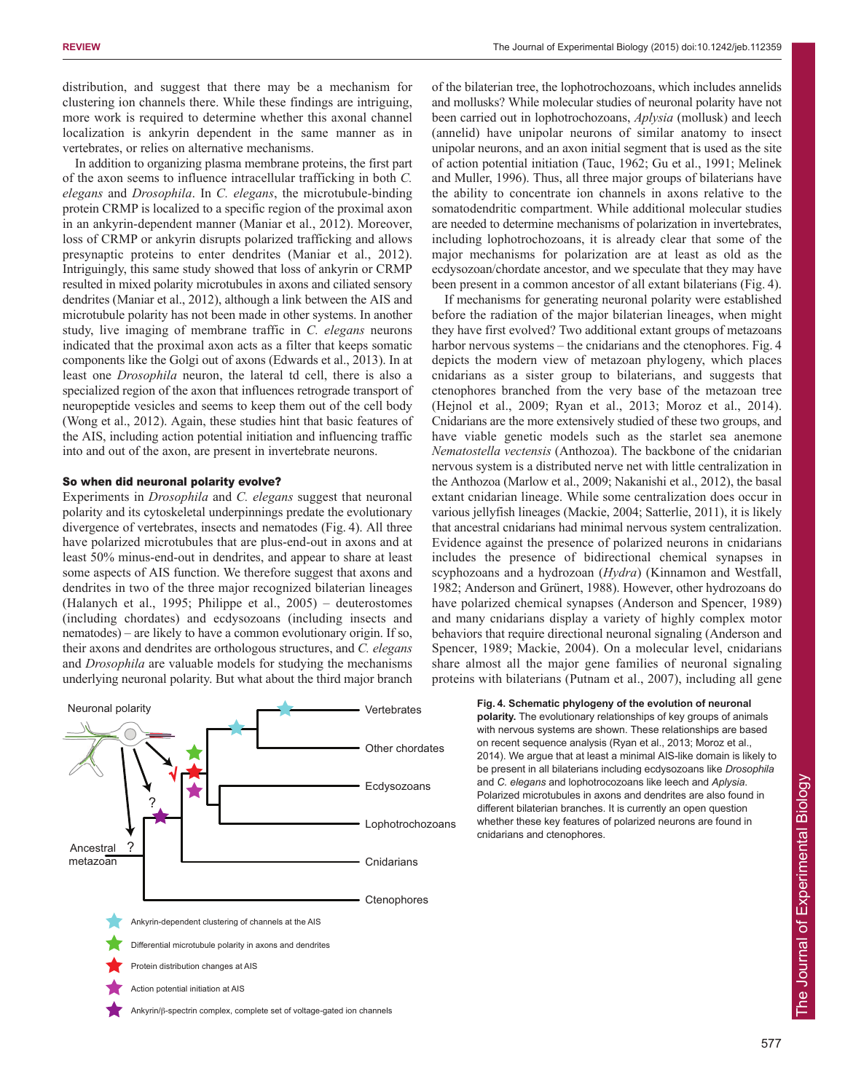distribution, and suggest that there may be a mechanism for clustering ion channels there. While these findings are intriguing, more work is required to determine whether this axonal channel localization is ankyrin dependent in the same manner as in vertebrates, or relies on alternative mechanisms.

In addition to organizing plasma membrane proteins, the first part of the axon seems to influence intracellular trafficking in both *C. elegans* and *Drosophila*. In *C. elegans*, the microtubule-binding protein CRMP is localized to a specific region of the proximal axon in an ankyrin-dependent manner (Maniar et al., 2012). Moreover, loss of CRMP or ankyrin disrupts polarized trafficking and allows presynaptic proteins to enter dendrites (Maniar et al., 2012). Intriguingly, this same study showed that loss of ankyrin or CRMP resulted in mixed polarity microtubules in axons and ciliated sensory dendrites (Maniar et al., 2012), although a link between the AIS and microtubule polarity has not been made in other systems. In another study, live imaging of membrane traffic in *C. elegans* neurons indicated that the proximal axon acts as a filter that keeps somatic components like the Golgi out of axons (Edwards et al., 2013). In at least one *Drosophila* neuron, the lateral td cell, there is also a specialized region of the axon that influences retrograde transport of neuropeptide vesicles and seems to keep them out of the cell body (Wong et al., 2012). Again, these studies hint that basic features of the AIS, including action potential initiation and influencing traffic into and out of the axon, are present in invertebrate neurons.

#### So when did neuronal polarity evolve?

Experiments in *Drosophila* and *C. elegans* suggest that neuronal polarity and its cytoskeletal underpinnings predate the evolutionary divergence of vertebrates, insects and nematodes (Fig. 4). All three have polarized microtubules that are plus-end-out in axons and at least 50% minus-end-out in dendrites, and appear to share at least some aspects of AIS function. We therefore suggest that axons and dendrites in two of the three major recognized bilaterian lineages (Halanych et al., 1995; Philippe et al., 2005) – deuterostomes (including chordates) and ecdysozoans (including insects and nematodes) – are likely to have a common evolutionary origin. If so, their axons and dendrites are orthologous structures, and *C. elegans* and *Drosophila* are valuable models for studying the mechanisms underlying neuronal polarity. But what about the third major branch



of the bilaterian tree, the lophotrochozoans, which includes annelids and mollusks? While molecular studies of neuronal polarity have not been carried out in lophotrochozoans, *Aplysia* (mollusk) and leech (annelid) have unipolar neurons of similar anatomy to insect unipolar neurons, and an axon initial segment that is used as the site of action potential initiation (Tauc, 1962; Gu et al., 1991; Melinek and Muller, 1996). Thus, all three major groups of bilaterians have the ability to concentrate ion channels in axons relative to the somatodendritic compartment. While additional molecular studies are needed to determine mechanisms of polarization in invertebrates, including lophotrochozoans, it is already clear that some of the major mechanisms for polarization are at least as old as the ecdysozoan/chordate ancestor, and we speculate that they may have been present in a common ancestor of all extant bilaterians (Fig. 4).

If mechanisms for generating neuronal polarity were established before the radiation of the major bilaterian lineages, when might they have first evolved? Two additional extant groups of metazoans harbor nervous systems – the cnidarians and the ctenophores. Fig. 4 depicts the modern view of metazoan phylogeny, which places cnidarians as a sister group to bilaterians, and suggests that ctenophores branched from the very base of the metazoan tree (Hejnol et al., 2009; Ryan et al., 2013; Moroz et al., 2014). Cnidarians are the more extensively studied of these two groups, and have viable genetic models such as the starlet sea anemone *Nematostella vectensis* (Anthozoa). The backbone of the cnidarian nervous system is a distributed nerve net with little centralization in the Anthozoa (Marlow et al., 2009; Nakanishi et al., 2012), the basal extant cnidarian lineage. While some centralization does occur in various jellyfish lineages (Mackie, 2004; Satterlie, 2011), it is likely that ancestral cnidarians had minimal nervous system centralization. Evidence against the presence of polarized neurons in cnidarians includes the presence of bidirectional chemical synapses in scyphozoans and a hydrozoan (*Hydra*) (Kinnamon and Westfall, 1982; Anderson and Grünert, 1988). However, other hydrozoans do have polarized chemical synapses (Anderson and Spencer, 1989) and many cnidarians display a variety of highly complex motor behaviors that require directional neuronal signaling (Anderson and Spencer, 1989; Mackie, 2004). On a molecular level, cnidarians share almost all the major gene families of neuronal signaling proteins with bilaterians (Putnam et al., 2007), including all gene

> **Fig. 4. Schematic phylogeny of the evolution of neuronal polarity.** The evolutionary relationships of key groups of animals with nervous systems are shown. These relationships are based on recent sequence analysis (Ryan et al., 2013; Moroz et al., 2014). We argue that at least a minimal AIS-like domain is likely to be present in all bilaterians including ecdysozoans like *Drosophila* and *C. elegans* and lophotrocozoans like leech and *Aplysia*. Polarized microtubules in axons and dendrites are also found in different bilaterian branches. It is currently an open question whether these key features of polarized neurons are found in cnidarians and ctenophores.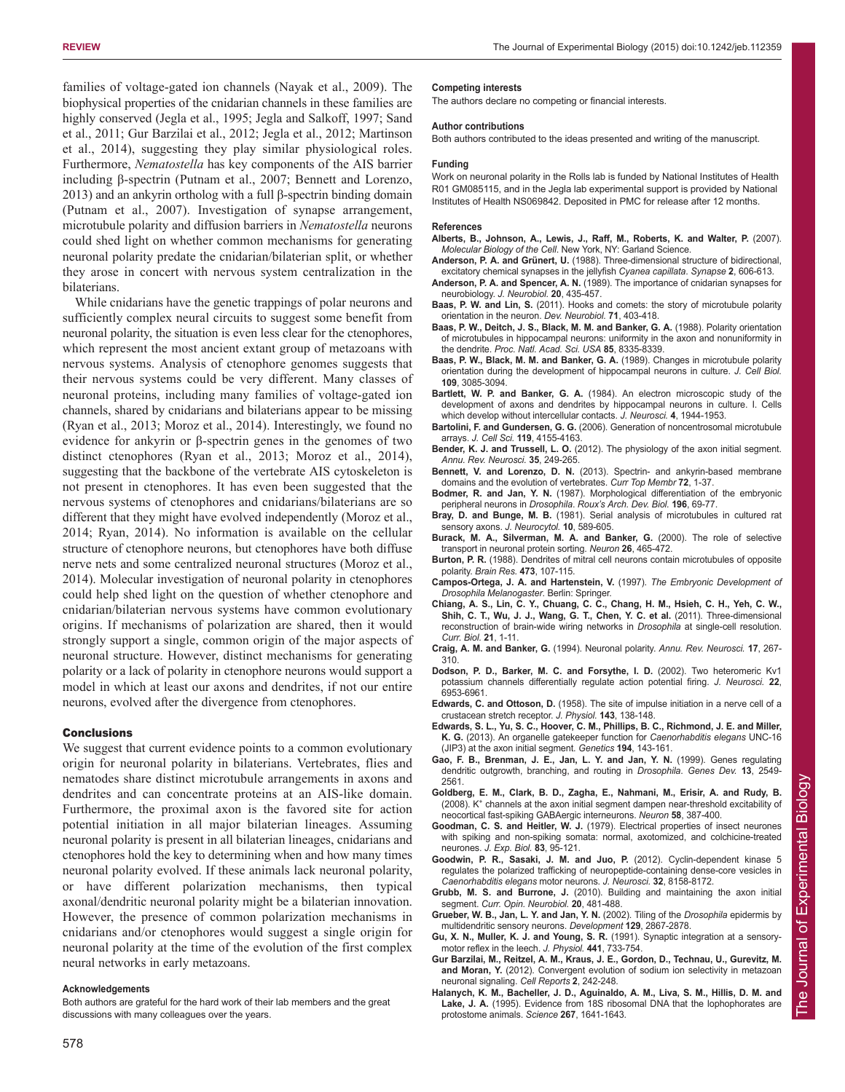families of voltage-gated ion channels (Nayak et al., 2009). The biophysical properties of the cnidarian channels in these families are highly conserved (Jegla et al., 1995; Jegla and Salkoff, 1997; Sand et al., 2011; Gur Barzilai et al., 2012; Jegla et al., 2012; Martinson et al., 2014), suggesting they play similar physiological roles. Furthermore, *Nematostella* has key components of the AIS barrier including β-spectrin (Putnam et al., 2007; Bennett and Lorenzo, 2013) and an ankyrin ortholog with a full β-spectrin binding domain (Putnam et al., 2007). Investigation of synapse arrangement, microtubule polarity and diffusion barriers in *Nematostella* neurons could shed light on whether common mechanisms for generating neuronal polarity predate the cnidarian/bilaterian split, or whether they arose in concert with nervous system centralization in the bilaterians.

While cnidarians have the genetic trappings of polar neurons and sufficiently complex neural circuits to suggest some benefit from neuronal polarity, the situation is even less clear for the ctenophores, which represent the most ancient extant group of metazoans with nervous systems. Analysis of ctenophore genomes suggests that their nervous systems could be very different. Many classes of neuronal proteins, including many families of voltage-gated ion channels, shared by cnidarians and bilaterians appear to be missing (Ryan et al., 2013; Moroz et al., 2014). Interestingly, we found no evidence for ankyrin or β-spectrin genes in the genomes of two distinct ctenophores (Ryan et al., 2013; Moroz et al., 2014), suggesting that the backbone of the vertebrate AIS cytoskeleton is not present in ctenophores. It has even been suggested that the nervous systems of ctenophores and cnidarians/bilaterians are so different that they might have evolved independently (Moroz et al., 2014; Ryan, 2014). No information is available on the cellular structure of ctenophore neurons, but ctenophores have both diffuse nerve nets and some centralized neuronal structures (Moroz et al., 2014). Molecular investigation of neuronal polarity in ctenophores could help shed light on the question of whether ctenophore and cnidarian/bilaterian nervous systems have common evolutionary origins. If mechanisms of polarization are shared, then it would strongly support a single, common origin of the major aspects of neuronal structure. However, distinct mechanisms for generating polarity or a lack of polarity in ctenophore neurons would support a model in which at least our axons and dendrites, if not our entire neurons, evolved after the divergence from ctenophores.

#### **Conclusions**

We suggest that current evidence points to a common evolutionary origin for neuronal polarity in bilaterians. Vertebrates, flies and nematodes share distinct microtubule arrangements in axons and dendrites and can concentrate proteins at an AIS-like domain. Furthermore, the proximal axon is the favored site for action potential initiation in all major bilaterian lineages. Assuming neuronal polarity is present in all bilaterian lineages, cnidarians and ctenophores hold the key to determining when and how many times neuronal polarity evolved. If these animals lack neuronal polarity, or have different polarization mechanisms, then typical axonal/dendritic neuronal polarity might be a bilaterian innovation. However, the presence of common polarization mechanisms in cnidarians and/or ctenophores would suggest a single origin for neuronal polarity at the time of the evolution of the first complex neural networks in early metazoans.

#### **Acknowledgements**

Both authors are grateful for the hard work of their lab members and the great discussions with many colleagues over the years.

#### **Competing interests**

The authors declare no competing or financial interests.

#### **Author contributions**

Both authors contributed to the ideas presented and writing of the manuscript.

#### **Funding**

Work on neuronal polarity in the Rolls lab is funded by National Institutes of Health R01 GM085115, and in the Jegla lab experimental support is provided by National Institutes of Health NS069842. Deposited in PMC for release after 12 months.

#### **References**

- **Alberts, B., Johnson, A., Lewis, J., Raff, M., Roberts, K. and Walter, P.** (2007). *Molecular Biology of the Cell*. New York, NY: Garland Science.
- **Anderson, P. A. and Grünert, U.** (1988). Three-dimensional structure of bidirectional, excitatory chemical synapses in the jellyfish *Cyanea capillata*. *Synapse* **2**, 606-613.
- **Anderson, P. A. and Spencer, A. N.** (1989). The importance of cnidarian synapses for neurobiology. *J. Neurobiol.* **20**, 435-457.
- **Baas, P. W. and Lin, S.** (2011). Hooks and comets: the story of microtubule polarity orientation in the neuron. *Dev. Neurobiol.* **71**, 403-418.
- **Baas, P. W., Deitch, J. S., Black, M. M. and Banker, G. A.** (1988). Polarity orientation of microtubules in hippocampal neurons: uniformity in the axon and nonuniformity in the dendrite. *Proc. Natl. Acad. Sci. USA* **85**, 8335-8339.
- **Baas, P. W., Black, M. M. and Banker, G. A.** (1989). Changes in microtubule polarity orientation during the development of hippocampal neurons in culture. *J. Cell Biol.* **109**, 3085-3094.
- **Bartlett, W. P. and Banker, G. A.** (1984). An electron microscopic study of the development of axons and dendrites by hippocampal neurons in culture. I. Cells which develop without intercellular contacts. *J. Neurosci.* **4**, 1944-1953.
- **Bartolini, F. and Gundersen, G. G.** (2006). Generation of noncentrosomal microtubule arrays. *J. Cell Sci.* **119**, 4155-4163.
- **Bender, K. J. and Trussell, L. O.** (2012). The physiology of the axon initial segment. *Annu. Rev. Neurosci.* **35**, 249-265.
- **Bennett, V. and Lorenzo, D. N.** (2013). Spectrin- and ankyrin-based membrane domains and the evolution of vertebrates. *Curr Top Membr* **72**, 1-37.
- **Bodmer, R. and Jan, Y. N.** (1987). Morphological differentiation of the embryonic peripheral neurons in *Drosophila*. *Roux's Arch. Dev. Biol.* **196**, 69-77.
- **Bray, D. and Bunge, M. B.** (1981). Serial analysis of microtubules in cultured rat sensory axons. *J. Neurocytol.* **10**, 589-605.
- **Burack, M. A., Silverman, M. A. and Banker, G.** (2000). The role of selective transport in neuronal protein sorting. *Neuron* **26**, 465-472.
- **Burton, P. R.** (1988). Dendrites of mitral cell neurons contain microtubules of opposite polarity. *Brain Res.* **473**, 107-115.
- **Campos-Ortega, J. A. and Hartenstein, V.** (1997). *The Embryonic Development of Drosophila Melanogaster*. Berlin: Springer.
- **Chiang, A. S., Lin, C. Y., Chuang, C. C., Chang, H. M., Hsieh, C. H., Yeh, C. W., Shih, C. T., Wu, J. J., Wang, G. T., Chen, Y. C. et al.** (2011). Three-dimensional reconstruction of brain-wide wiring networks in *Drosophila* at single-cell resolution. *Curr. Biol.* **21**, 1-11.
- **Craig, A. M. and Banker, G.** (1994). Neuronal polarity. *Annu. Rev. Neurosci.* **17**, 267- 310.
- **Dodson, P. D., Barker, M. C. and Forsythe, I. D.** (2002). Two heteromeric Kv1 potassium channels differentially regulate action potential firing. *J. Neurosci.* **22**, 6953-6961.
- **Edwards, C. and Ottoson, D.** (1958). The site of impulse initiation in a nerve cell of a crustacean stretch receptor. *J. Physiol.* **143**, 138-148.
- **Edwards, S. L., Yu, S. C., Hoover, C. M., Phillips, B. C., Richmond, J. E. and Miller, K. G.** (2013). An organelle gatekeeper function for *Caenorhabditis elegans* UNC-16 (JIP3) at the axon initial segment. *Genetics* **194**, 143-161.
- **Gao, F. B., Brenman, J. E., Jan, L. Y. and Jan, Y. N.** (1999). Genes regulating dendritic outgrowth, branching, and routing in *Drosophila*. *Genes Dev.* **13**, 2549- 2561.
- **Goldberg, E. M., Clark, B. D., Zagha, E., Nahmani, M., Erisir, A. and Rudy, B.** (2008). K<sup>+</sup> channels at the axon initial segment dampen near-threshold excitability of neocortical fast-spiking GABAergic interneurons. *Neuron* **58**, 387-400.
- **Goodman, C. S. and Heitler, W. J.** (1979). Electrical properties of insect neurones with spiking and non-spiking somata: normal, axotomized, and colchicine-treated neurones. *J. Exp. Biol.* **83**, 95-121.
- **Goodwin, P. R., Sasaki, J. M. and Juo, P.** (2012). Cyclin-dependent kinase 5 regulates the polarized trafficking of neuropeptide-containing dense-core vesicles in *Caenorhabditis elegans* motor neurons. *J. Neurosci.* **32**, 8158-8172.
- **Grubb, M. S. and Burrone, J.** (2010). Building and maintaining the axon initial segment. *Curr. Opin. Neurobiol.* **20**, 481-488.
- **Grueber, W. B., Jan, L. Y. and Jan, Y. N.** (2002). Tiling of the *Drosophila* epidermis by multidendritic sensory neurons. *Development* **129**, 2867-2878.
- **Gu, X. N., Muller, K. J. and Young, S. R.** (1991). Synaptic integration at a sensorymotor reflex in the leech. *J. Physiol.* **441**, 733-754.
- **Gur Barzilai, M., Reitzel, A. M., Kraus, J. E., Gordon, D., Technau, U., Gurevitz, M. and Moran, Y.** (2012). Convergent evolution of sodium ion selectivity in metazoan neuronal signaling. *Cell Reports* **2**, 242-248.
- **Halanych, K. M., Bacheller, J. D., Aguinaldo, A. M., Liva, S. M., Hillis, D. M. and Lake, J. A.** (1995). Evidence from 18S ribosomal DNA that the lophophorates are protostome animals. *Science* **267**, 1641-1643.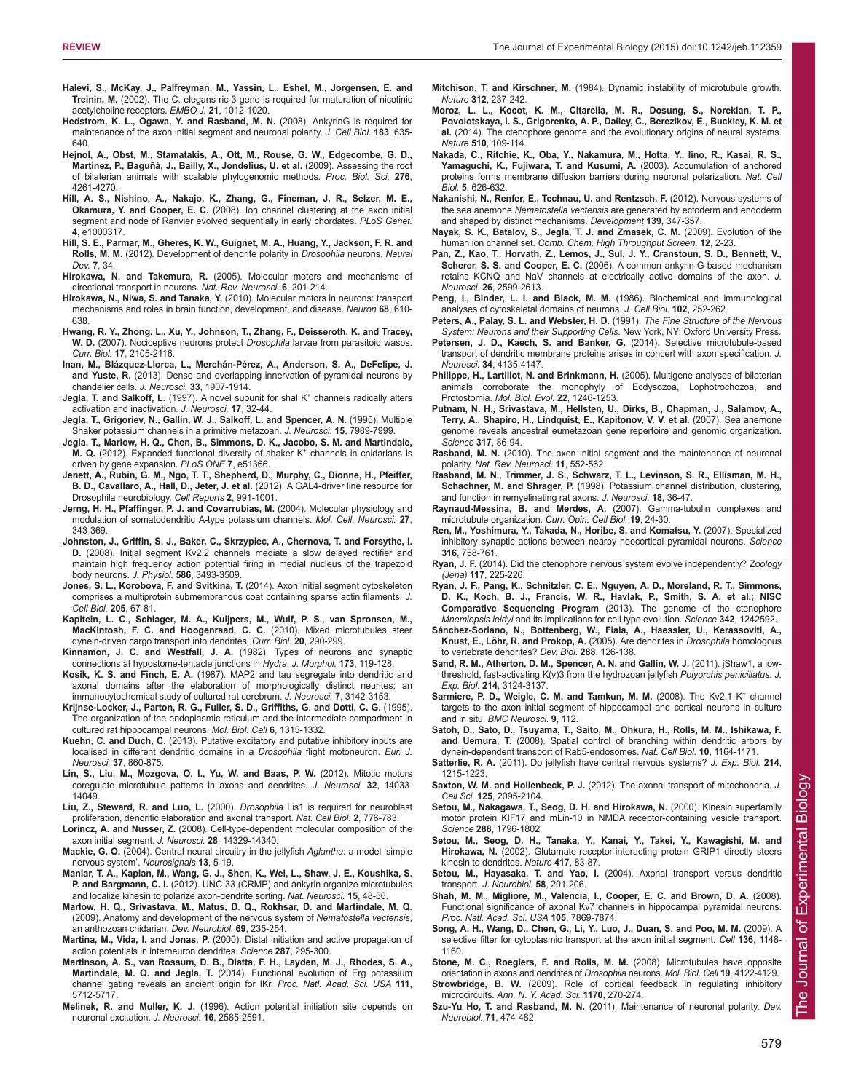- **Halevi, S., McKay, J., Palfreyman, M., Yassin, L., Eshel, M., Jorgensen, E. and Treinin, M.** (2002). The C. elegans ric-3 gene is required for maturation of nicotinic acetylcholine receptors. *EMBO J.* **21**, 1012-1020.
- **Hedstrom, K. L., Ogawa, Y. and Rasband, M. N.** (2008). AnkyrinG is required for maintenance of the axon initial segment and neuronal polarity. *J. Cell Biol.* **183**, 635- 640.
- **Hejnol, A., Obst, M., Stamatakis, A., Ott, M., Rouse, G. W., Edgecombe, G. D., Martinez, P., Baguñà, J., Bailly, X., Jondelius, U. et al.** (2009). Assessing the root of bilaterian animals with scalable phylogenomic methods. *Proc. Biol. Sci.* **276**, 4261-4270.
- **Hill, A. S., Nishino, A., Nakajo, K., Zhang, G., Fineman, J. R., Selzer, M. E., Okamura, Y. and Cooper, E. C.** (2008). Ion channel clustering at the axon initial segment and node of Ranvier evolved sequentially in early chordates. *PLoS Genet.* **4**, e1000317.
- **Hill, S. E., Parmar, M., Gheres, K. W., Guignet, M. A., Huang, Y., Jackson, F. R. and Rolls, M. M.** (2012). Development of dendrite polarity in *Drosophila* neurons. *Neural Dev.* **7**, 34.
- **Hirokawa, N. and Takemura, R.** (2005). Molecular motors and mechanisms of directional transport in neurons. *Nat. Rev. Neurosci.* **6**, 201-214.
- **Hirokawa, N., Niwa, S. and Tanaka, Y.** (2010). Molecular motors in neurons: transport mechanisms and roles in brain function, development, and disease. *Neuron* **68**, 610- 638.
- **Hwang, R. Y., Zhong, L., Xu, Y., Johnson, T., Zhang, F., Deisseroth, K. and Tracey, W. D.** (2007). Nociceptive neurons protect *Drosophila* larvae from parasitoid wasps. *Curr. Biol.* **17**, 2105-2116.
- **Inan, M., Blázquez-Llorca, L., Merchán-Pérez, A., Anderson, S. A., DeFelipe, J. and Yuste, R.** (2013). Dense and overlapping innervation of pyramidal neurons by chandelier cells. *J. Neurosci.* **33**, 1907-1914.
- Jegla, T. and Salkoff, L. (1997). A novel subunit for shal K<sup>+</sup> channels radically alters activation and inactivation. *J. Neurosci.* **17**, 32-44.
- **Jegla, T., Grigoriev, N., Gallin, W. J., Salkoff, L. and Spencer, A. N.** (1995). Multiple Shaker potassium channels in a primitive metazoan. *J. Neurosci.* **15**, 7989-7999.
- **Jegla, T., Marlow, H. Q., Chen, B., Simmons, D. K., Jacobo, S. M. and Martindale, M. Q.** (2012). Expanded functional diversity of shaker K<sup>+</sup> channels in cnidarians is driven by gene expansion. *PLoS ONE* **7**, e51366.
- **Jenett, A., Rubin, G. M., Ngo, T. T., Shepherd, D., Murphy, C., Dionne, H., Pfeiffer, B. D., Cavallaro, A., Hall, D., Jeter, J. et al.** (2012). A GAL4-driver line resource for Drosophila neurobiology. *Cell Reports* **2**, 991-1001.
- **Jerng, H. H., Pfaffinger, P. J. and Covarrubias, M.** (2004). Molecular physiology and modulation of somatodendritic A-type potassium channels. *Mol. Cell. Neurosci.* **27**, 343-369.
- **Johnston, J., Griffin, S. J., Baker, C., Skrzypiec, A., Chernova, T. and Forsythe, I. D.** (2008). Initial segment Kv2.2 channels mediate a slow delayed rectifier and maintain high frequency action potential firing in medial nucleus of the trapezoid body neurons. *J. Physiol.* **586**, 3493-3509.
- **Jones, S. L., Korobova, F. and Svitkina, T.** (2014). Axon initial segment cytoskeleton comprises a multiprotein submembranous coat containing sparse actin filaments. *J. Cell Biol.* **205**, 67-81.
- **Kapitein, L. C., Schlager, M. A., Kuijpers, M., Wulf, P. S., van Spronsen, M., MacKintosh, F. C. and Hoogenraad, C. C.** (2010). Mixed microtubules steer dynein-driven cargo transport into dendrites. *Curr. Biol.* **20**, 290-299.
- **Kinnamon, J. C. and Westfall, J. A.** (1982). Types of neurons and synaptic connections at hypostome-tentacle junctions in *Hydra*. *J. Morphol.* **173**, 119-128.
- **Kosik, K. S. and Finch, E. A.** (1987). MAP2 and tau segregate into dendritic and axonal domains after the elaboration of morphologically distinct neurites: an immunocytochemical study of cultured rat cerebrum. *J. Neurosci.* **7**, 3142-3153.
- **Krijnse-Locker, J., Parton, R. G., Fuller, S. D., Griffiths, G. and Dotti, C. G.** (1995). The organization of the endoplasmic reticulum and the intermediate compartment in cultured rat hippocampal neurons. *Mol. Biol. Cell* **6**, 1315-1332.
- **Kuehn, C. and Duch, C.** (2013). Putative excitatory and putative inhibitory inputs are localised in different dendritic domains in a *Drosophila* flight motoneuron. *Eur. J. Neurosci.* **37**, 860-875.
- **Lin, S., Liu, M., Mozgova, O. I., Yu, W. and Baas, P. W.** (2012). Mitotic motors coregulate microtubule patterns in axons and dendrites. *J. Neurosci.* **32**, 14033- 14049.
- **Liu, Z., Steward, R. and Luo, L.** (2000). *Drosophila* Lis1 is required for neuroblast proliferation, dendritic elaboration and axonal transport. *Nat. Cell Biol.* **2**, 776-783.
- **Lorincz, A. and Nusser, Z.** (2008). Cell-type-dependent molecular composition of the axon initial segment. *J. Neurosci.* **28**, 14329-14340.
- **Mackie, G. O.** (2004). Central neural circuitry in the jellyfish *Aglantha*: a model 'simple nervous system'. *Neurosignals* **13**, 5-19.
- **Maniar, T. A., Kaplan, M., Wang, G. J., Shen, K., Wei, L., Shaw, J. E., Koushika, S. P. and Bargmann, C. I.** (2012). UNC-33 (CRMP) and ankyrin organize microtubules and localize kinesin to polarize axon-dendrite sorting. *Nat. Neurosci.* **15**, 48-56.
- **Marlow, H. Q., Srivastava, M., Matus, D. Q., Rokhsar, D. and Martindale, M. Q.** (2009). Anatomy and development of the nervous system of *Nematostella vectensis*, an anthozoan cnidarian. *Dev. Neurobiol.* **69**, 235-254.
- **Martina, M., Vida, I. and Jonas, P.** (2000). Distal initiation and active propagation of action potentials in interneuron dendrites. *Science* **287**, 295-300.
- **Martinson, A. S., van Rossum, D. B., Diatta, F. H., Layden, M. J., Rhodes, S. A., Martindale, M. Q. and Jegla, T.** (2014). Functional evolution of Erg potassium channel gating reveals an ancient origin for IKr. *Proc. Natl. Acad. Sci. USA* **111**, 5712-5717.
- **Melinek, R. and Muller, K. J.** (1996). Action potential initiation site depends on neuronal excitation. *J. Neurosci.* **16**, 2585-2591.
- **Mitchison, T. and Kirschner, M.** (1984). Dynamic instability of microtubule growth. *Nature* **312**, 237-242.
- **Moroz, L. L., Kocot, K. M., Citarella, M. R., Dosung, S., Norekian, T. P., Povolotskaya, I. S., Grigorenko, A. P., Dailey, C., Berezikov, E., Buckley, K. M. et al.** (2014). The ctenophore genome and the evolutionary origins of neural systems. *Nature* **510**, 109-114.
- **Nakada, C., Ritchie, K., Oba, Y., Nakamura, M., Hotta, Y., Iino, R., Kasai, R. S., Yamaguchi, K., Fujiwara, T. and Kusumi, A.** (2003). Accumulation of anchored proteins forms membrane diffusion barriers during neuronal polarization. *Nat. Cell Biol.* **5**, 626-632.
- **Nakanishi, N., Renfer, E., Technau, U. and Rentzsch, F.** (2012). Nervous systems of the sea anemone *Nematostella vectensis* are generated by ectoderm and endoderm and shaped by distinct mechanisms. *Development* **139**, 347-357.
- **Nayak, S. K.**, **Batalov, S., Jegla, T. J. and Zmasek, C. M.** (2009). Evolution of the human ion channel set. *Comb. Chem. High Throughput Screen.* **12**, 2-23.
- **Pan, Z., Kao, T., Horvath, Z., Lemos, J., Sul, J. Y., Cranstoun, S. D., Bennett, V., Scherer, S. S. and Cooper, E. C.** (2006). A common ankyrin-G-based mechanism retains KCNQ and NaV channels at electrically active domains of the axon. *J. Neurosci.* **26**, 2599-2613.
- **Peng, I., Binder, L. I. and Black, M. M.** (1986). Biochemical and immunological analyses of cytoskeletal domains of neurons. *J. Cell Biol.* **102**, 252-262.
- **Peters, A., Palay, S. L. and Webster, H. D.** (1991). *The Fine Structure of the Nervous System: Neurons and their Supporting Cells*. New York, NY: Oxford University Press.
- **Petersen, J. D., Kaech, S. and Banker, G.** (2014). Selective microtubule-based transport of dendritic membrane proteins arises in concert with axon specification. *J. Neurosci.* **34**, 4135-4147.
- **Philippe, H., Lartillot, N. and Brinkmann, H.** (2005). Multigene analyses of bilaterian animals corroborate the monophyly of Ecdysozoa, Lophotrochozoa, and Protostomia. *Mol. Biol. Evol.* **22**, 1246-1253.
- **Putnam, N. H., Srivastava, M., Hellsten, U., Dirks, B., Chapman, J., Salamov, A., Terry, A., Shapiro, H., Lindquist, E., Kapitonov, V. V. et al.** (2007). Sea anemone genome reveals ancestral eumetazoan gene repertoire and genomic organization. *Science* **317**, 86-94.
- **Rasband, M. N.** (2010). The axon initial segment and the maintenance of neuronal polarity. *Nat. Rev. Neurosci.* **11**, 552-562.
- **Rasband, M. N., Trimmer, J. S., Schwarz, T. L., Levinson, S. R., Ellisman, M. H., Schachner, M. and Shrager, P.** (1998). Potassium channel distribution, clustering, and function in remyelinating rat axons. *J. Neurosci.* **18**, 36-47.
- **Raynaud-Messina, B. and Merdes, A.** (2007). Gamma-tubulin complexes and microtubule organization. *Curr. Opin. Cell Biol.* **19**, 24-30.
- **Ren, M., Yoshimura, Y., Takada, N., Horibe, S. and Komatsu, Y.** (2007). Specialized inhibitory synaptic actions between nearby neocortical pyramidal neurons. *Science* **316**, 758-761.
- **Ryan, J. F.** (2014). Did the ctenophore nervous system evolve independently? *Zoology (Jena)* **117**, 225-226.
- **Ryan, J. F., Pang, K., Schnitzler, C. E., Nguyen, A. D., Moreland, R. T., Simmons, D. K., Koch, B. J., Francis, W. R., Havlak, P., Smith, S. A. et al.; NISC Comparative Sequencing Program** (2013). The genome of the ctenophore *Mnemiopsis leidyi* and its implications for cell type evolution. *Science* **342**, 1242592.
- **Sánchez-Soriano, N., Bottenberg, W., Fiala, A., Haessler, U., Kerassoviti, A., Knust, E., Löhr, R. and Prokop, A.** (2005). Are dendrites in *Drosophila* homologous to vertebrate dendrites? *Dev. Biol.* **288**, 126-138.
- **Sand, R. M., Atherton, D. M., Spencer, A. N. and Gallin, W. J.** (2011). jShaw1, a lowthreshold, fast-activating K(v)3 from the hydrozoan jellyfish *Polyorchis penicillatus*. *J. Exp. Biol.* **214**, 3124-3137.
- Sarmiere, P. D., Weigle, C. M. and Tamkun, M. M. (2008). The Kv2.1 K<sup>+</sup> channel targets to the axon initial segment of hippocampal and cortical neurons in culture and in situ. *BMC Neurosci.* **9**, 112.
- **Satoh, D., Sato, D., Tsuyama, T., Saito, M., Ohkura, H., Rolls, M. M., Ishikawa, F. and Uemura, T.** (2008). Spatial control of branching within dendritic arbors by dynein-dependent transport of Rab5-endosomes. *Nat. Cell Biol.* **10**, 1164-1171.
- **Satterlie, R. A.** (2011). Do jellyfish have central nervous systems? *J. Exp. Biol.* **214**, 1215-1223.
- **Saxton, W. M. and Hollenbeck, P. J.** (2012). The axonal transport of mitochondria. *J. Cell Sci.* **125**, 2095-2104.
- **Setou, M., Nakagawa, T., Seog, D. H. and Hirokawa, N.** (2000). Kinesin superfamily motor protein KIF17 and mLin-10 in NMDA receptor-containing vesicle transport. *Science* **288**, 1796-1802.
- **Setou, M., Seog, D. H., Tanaka, Y., Kanai, Y., Takei, Y., Kawagishi, M. and Hirokawa, N.** (2002). Glutamate-receptor-interacting protein GRIP1 directly steers kinesin to dendrites. *Nature* **417**, 83-87.
- Setou, M., Hayasaka, T. and Yao, I. (2004). Axonal transport versus dendritic transport. *J. Neurobiol.* **58**, 201-206.
- **Shah, M. M., Migliore, M., Valencia, I., Cooper, E. C. and Brown, D. A.** (2008). Functional significance of axonal Kv7 channels in hippocampal pyramidal neurons. *Proc. Natl. Acad. Sci. USA* **105**, 7869-7874.
- **Song, A. H., Wang, D., Chen, G., Li, Y., Luo, J., Duan, S. and Poo, M. M.** (2009). A selective filter for cytoplasmic transport at the axon initial segment. *Cell* **136**, 1148- 1160.
- **Stone, M. C., Roegiers, F. and Rolls, M. M.** (2008). Microtubules have opposite orientation in axons and dendrites of *Drosophila* neurons. *Mol. Biol. Cell* **19**, 4122-4129.

**Strowbridge, B. W.** (2009). Role of cortical feedback in regulating inhibitory microcircuits. *Ann. N. Y. Acad. Sci.* **1170**, 270-274.

**Szu-Yu Ho, T. and Rasband, M. N.** (2011). Maintenance of neuronal polarity. *Dev. Neurobiol.* **71**, 474-482.